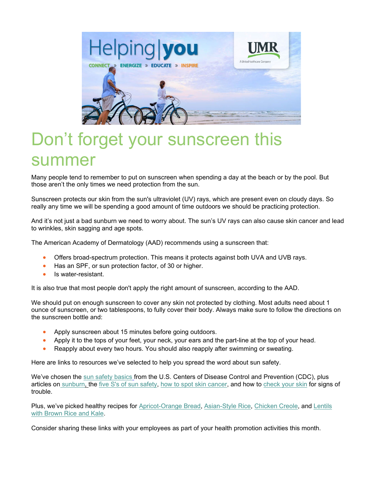

## Don't forget your sunscreen this summer

Many people tend to remember to put on sunscreen when spending a day at the beach or by the pool. But those aren't the only times we need protection from the sun.

Sunscreen protects our skin from the sun's ultraviolet (UV) rays, which are present even on cloudy days. So really any time we will be spending a good amount of time outdoors we should be practicing protection.

And it's not just a bad sunburn we need to worry about. The sun's UV rays can also cause skin cancer and lead to wrinkles, skin sagging and age spots.

The American Academy of Dermatology (AAD) recommends using a sunscreen that:

- Offers broad-spectrum protection. This means it protects against both UVA and UVB rays.
- Has an SPF, or sun protection factor, of 30 or higher.
- Is water-resistant.

It is also true that most people don't apply the right amount of sunscreen, according to the AAD.

We should put on enough sunscreen to cover any skin not protected by clothing. Most adults need about 1 ounce of sunscreen, or two tablespoons, to fully cover their body. Always make sure to follow the directions on the sunscreen bottle and:

- Apply sunscreen about 15 minutes before going outdoors.
- Apply it to the tops of your feet, your neck, your ears and the part-line at the top of your head.
- Reapply about every two hours. You should also reapply after swimming or sweating.

Here are links to resources we've selected to help you spread the word about sun safety.

We've chosen the [sun safety basics](https://www.cdc.gov/cancer/skin/basic_info/sun-safety.htm) from the U.S. Centers of Disease Control and Prevention (CDC), plus articles on [sunburn,](https://ssl.adam.com/content.aspx?productid=117&isarticlelink=false&pid=1&gid=003227&site=annumr.adam.com&login=TRUV1989) the [five S's of sun safety,](https://www.skcin.org/sunSafetyAndPrevention/theFiveSsOfSunSafety.htm) [how to spot skin cancer,](https://www.skcin.org/sunSafetyAndPrevention/howToSpotSkinCancer.htm) and how to [check your skin](https://www.skcin.org/sunSafetyAndPrevention/howToCheckYourSkin.htm) for signs of trouble.

Plus, we've picked healthy recipes for [Apricot-Orange Bread,](https://healthyeating.nhlbi.nih.gov/recipedetail.aspx?linkId=13&cId=9&rId=281) [Asian-Style Rice,](https://healthyeating.nhlbi.nih.gov/recipedetail.aspx?linkId=13&cId=8&rId=280) [Chicken Creole,](https://healthyeating.nhlbi.nih.gov/recipedetail.aspx?linkId=11&cId=2&rId=18) and [Lentils](https://healthyeating.nhlbi.nih.gov/recipedetail.aspx?linkId=11&cId=6&rId=53)  [with Brown Rice and Kale.](https://healthyeating.nhlbi.nih.gov/recipedetail.aspx?linkId=11&cId=6&rId=53)

Consider sharing these links with your employees as part of your health promotion activities this month.